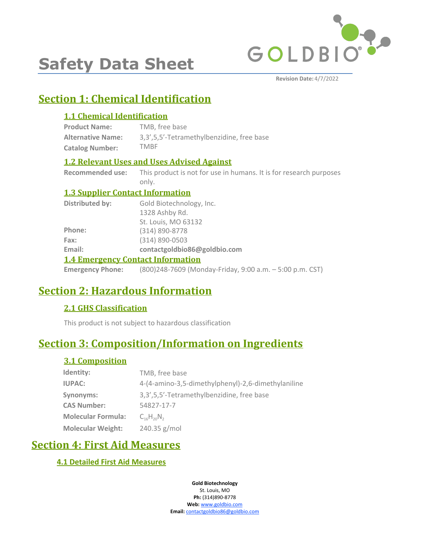

# **Safety Data Sheet**

**Revision Date:** 4/7/2022

# **Section 1: Chemical Identification**

# **1.1 Chemical Identification**

| <b>Product Name:</b>     | TMB, free base                            |
|--------------------------|-------------------------------------------|
| <b>Alternative Name:</b> | 3,3',5,5'-Tetramethylbenzidine, free base |
| <b>Catalog Number:</b>   | <b>TMBF</b>                               |

# **1.2 Relevant Uses and Uses Advised Against**

**Recommended use:** This product is not for use in humans. It is for research purposes only.

# **1.3 Supplier Contact Information**

| Distributed by:                          | Gold Biotechnology, Inc.                                                         |  |
|------------------------------------------|----------------------------------------------------------------------------------|--|
|                                          | 1328 Ashby Rd.                                                                   |  |
|                                          | St. Louis, MO 63132                                                              |  |
| Phone:                                   | (314) 890-8778                                                                   |  |
| Fax:                                     | $(314) 890 - 0503$                                                               |  |
| Email:                                   | contactgoldbio86@goldbio.com                                                     |  |
| <b>1.4 Emergency Contact Information</b> |                                                                                  |  |
|                                          | <b>Emergency Phone:</b> (800)248-7609 (Monday-Friday, 9:00 a.m. - 5:00 p.m. CST) |  |

# **Section 2: Hazardous Information**

# **2.1 GHS Classification**

This product is not subject to hazardous classification

# **Section 3: Composition/Information on Ingredients**

# **3.1 Composition**

| Identity:                 | TMB, free base                                     |
|---------------------------|----------------------------------------------------|
| <b>IUPAC:</b>             | 4-(4-amino-3,5-dimethylphenyl)-2,6-dimethylaniline |
| Synonyms:                 | 3,3',5,5'-Tetramethylbenzidine, free base          |
| <b>CAS Number:</b>        | 54827-17-7                                         |
| <b>Molecular Formula:</b> | $C_{16}H_{20}N_{2}$                                |
| <b>Molecular Weight:</b>  | 240.35 g/mol                                       |

# **Section 4: First Aid Measures**

# **4.1 Detailed First Aid Measures**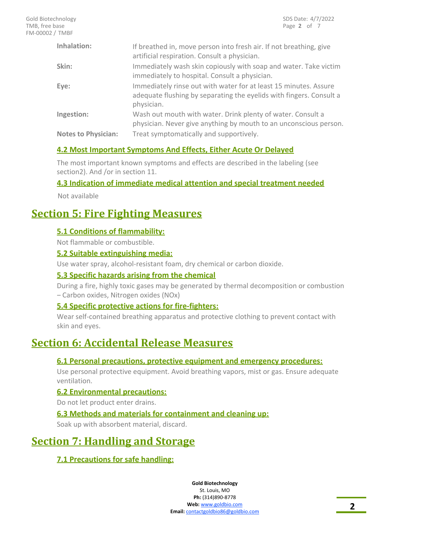| Inhalation:                | If breathed in, move person into fresh air. If not breathing, give<br>artificial respiration. Consult a physician.                                    |
|----------------------------|-------------------------------------------------------------------------------------------------------------------------------------------------------|
| Skin:                      | Immediately wash skin copiously with soap and water. Take victim<br>immediately to hospital. Consult a physician.                                     |
| Eye:                       | Immediately rinse out with water for at least 15 minutes. Assure<br>adequate flushing by separating the eyelids with fingers. Consult a<br>physician. |
| Ingestion:                 | Wash out mouth with water. Drink plenty of water. Consult a<br>physician. Never give anything by mouth to an unconscious person.                      |
| <b>Notes to Physician:</b> | Treat symptomatically and supportively.                                                                                                               |

# **4.2 Most Important Symptoms And Effects, Either Acute Or Delayed**

The most important known symptoms and effects are described in the labeling (see section2). And /or in section 11.

### **4.3 Indication of immediate medical attention and special treatment needed**

Not available

# **Section 5: Fire Fighting Measures**

### **5.1 Conditions of flammability:**

Not flammable or combustible.

#### **5.2 Suitable extinguishing media:**

Use water spray, alcohol-resistant foam, dry chemical or carbon dioxide.

#### **5.3 Specific hazards arising from the chemical**

During a fire, highly toxic gases may be generated by thermal decomposition or combustion – Carbon oxides, Nitrogen oxides (NOx)

### **5.4 Specific protective actions for fire-fighters:**

Wear self-contained breathing apparatus and protective clothing to prevent contact with skin and eyes.

# **Section 6: Accidental Release Measures**

### **6.1 Personal precautions, protective equipment and emergency procedures:**

Use personal protective equipment. Avoid breathing vapors, mist or gas. Ensure adequate ventilation.

### **6.2 Environmental precautions:**

Do not let product enter drains.

### **6.3 Methods and materials for containment and cleaning up:**

Soak up with absorbent material, discard.

# **Section 7: Handling and Storage**

# **7.1 Precautions for safe handling:**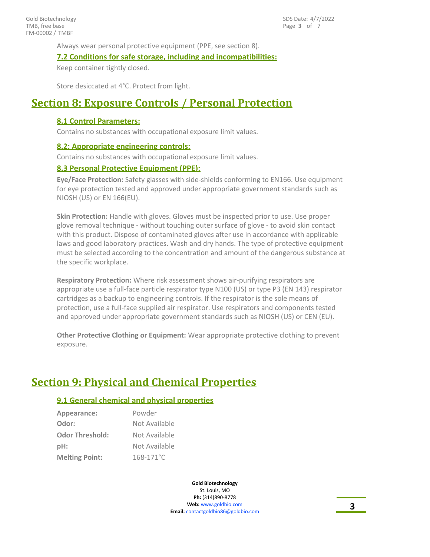Always wear personal protective equipment (PPE, see section 8).

#### **7.2 Conditions for safe storage, including and incompatibilities:**

Keep container tightly closed.

Store desiccated at 4°C. Protect from light.

# **Section 8: Exposure Controls / Personal Protection**

#### **8.1 Control Parameters:**

Contains no substances with occupational exposure limit values.

#### **8.2: Appropriate engineering controls:**

Contains no substances with occupational exposure limit values.

#### **8.3 Personal Protective Equipment (PPE):**

**Eye/Face Protection:** Safety glasses with side-shields conforming to EN166. Use equipment for eye protection tested and approved under appropriate government standards such as NIOSH (US) or EN 166(EU).

**Skin Protection:** Handle with gloves. Gloves must be inspected prior to use. Use proper glove removal technique - without touching outer surface of glove - to avoid skin contact with this product. Dispose of contaminated gloves after use in accordance with applicable laws and good laboratory practices. Wash and dry hands. The type of protective equipment must be selected according to the concentration and amount of the dangerous substance at the specific workplace.

**Respiratory Protection:** Where risk assessment shows air-purifying respirators are appropriate use a full-face particle respirator type N100 (US) or type P3 (EN 143) respirator cartridges as a backup to engineering controls. If the respirator is the sole means of protection, use a full-face supplied air respirator. Use respirators and components tested and approved under appropriate government standards such as NIOSH (US) or CEN (EU).

**Other Protective Clothing or Equipment:** Wear appropriate protective clothing to prevent exposure.

# **Section 9: Physical and Chemical Properties**

### **9.1 General chemical and physical properties**

| Appearance:            | Powder         |
|------------------------|----------------|
| Odor:                  | Not Available  |
| <b>Odor Threshold:</b> | Not Available  |
| pH:                    | Not Available  |
| <b>Melting Point:</b>  | $168 - 171$ °C |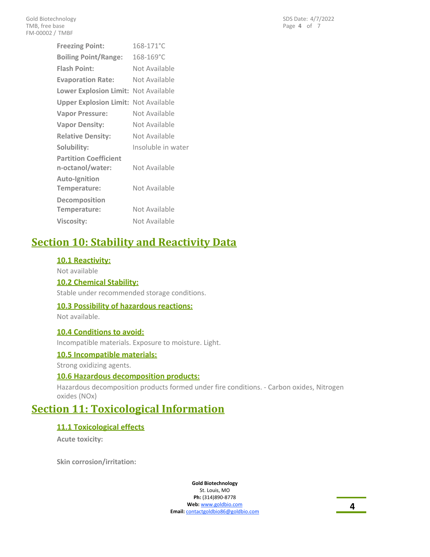| 168-171°C                                   |  |
|---------------------------------------------|--|
| 168-169°C                                   |  |
| Not Available                               |  |
| Not Available                               |  |
| Lower Explosion Limit: Not Available        |  |
| <b>Upper Explosion Limit: Not Available</b> |  |
| Not Available                               |  |
| Not Available                               |  |
| Not Available                               |  |
| Insoluble in water                          |  |
| Not Available                               |  |
| Not Available                               |  |
| Not Available                               |  |
| Not Available                               |  |
|                                             |  |

# **Section 10: Stability and Reactivity Data**

### **10.1 Reactivity:**

Not available

# **10.2 Chemical Stability:**

Stable under recommended storage conditions.

### **10.3 Possibility of hazardous reactions:**

Not available.

#### **10.4 Conditions to avoid:**

Incompatible materials. Exposure to moisture. Light.

#### **10.5 Incompatible materials:**

Strong oxidizing agents.

### **10.6 Hazardous decomposition products:**

Hazardous decomposition products formed under fire conditions. - Carbon oxides, Nitrogen oxides (NOx)

# **Section 11: Toxicological Information**

### **11.1 Toxicological effects**

**Acute toxicity:**

**Skin corrosion/irritation:**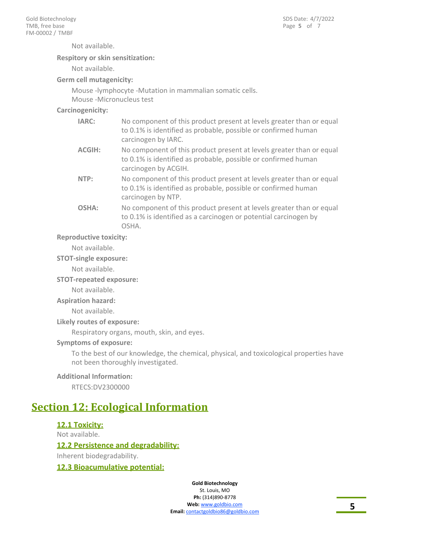Not available.

#### **Respitory or skin sensitization:**

Not available.

#### **Germ cell mutagenicity:**

Mouse -lymphocyte -Mutation in mammalian somatic cells. Mouse -Micronucleus test

#### **Carcinogenicity:**

| <b>IARC:</b>  | No component of this product present at levels greater than or equal<br>to 0.1% is identified as probable, possible or confirmed human<br>carcinogen by IARC.  |
|---------------|----------------------------------------------------------------------------------------------------------------------------------------------------------------|
| <b>ACGIH:</b> | No component of this product present at levels greater than or equal<br>to 0.1% is identified as probable, possible or confirmed human<br>carcinogen by ACGIH. |
| NTP:          | No component of this product present at levels greater than or equal<br>to 0.1% is identified as probable, possible or confirmed human<br>carcinogen by NTP.   |
| OSHA:         | No component of this product present at levels greater than or equal<br>to 0.1% is identified as a carcinogen or potential carcinogen by<br>OSHA.              |

#### **Reproductive toxicity:**

Not available.

#### **STOT-single exposure:**

Not available.

#### **STOT-repeated exposure:**

Not available.

**Aspiration hazard:**

Not available.

#### **Likely routes of exposure:**

Respiratory organs, mouth, skin, and eyes.

#### **Symptoms of exposure:**

To the best of our knowledge, the chemical, physical, and toxicological properties have not been thoroughly investigated.

#### **Additional Information:**

RTECS:DV2300000

# **Section 12: Ecological Information**

### **12.1 Toxicity:**

Not available.

### **12.2 Persistence and degradability:**

Inherent biodegradability.

# **12.3 Bioacumulative potential:**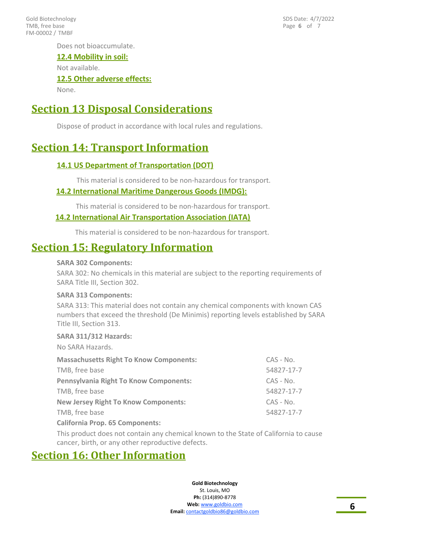FM-00002 / TMBF Gold Biotechnology TMB, free base

Page **6** of 7 SDS Date: 4/7/2022

Does not bioaccumulate.

### **12.4 Mobility in soil:**

Not available.

### **12.5 Other adverse effects:**

None.

# **Section 13 Disposal Considerations**

Dispose of product in accordance with local rules and regulations.

# **Section 14: Transport Information**

### **14.1 US Department of Transportation (DOT)**

This material is considered to be non-hazardous for transport.

#### **14.2 International Maritime Dangerous Goods (IMDG):**

This material is considered to be non-hazardous for transport.

#### **14.2 International Air Transportation Association (IATA)**

This material is considered to be non-hazardous for transport.

# **Section 15: Regulatory Information**

#### **SARA 302 Components:**

SARA 302: No chemicals in this material are subject to the reporting requirements of SARA Title III, Section 302.

#### **SARA 313 Components:**

SARA 313: This material does not contain any chemical components with known CAS numbers that exceed the threshold (De Minimis) reporting levels established by SARA Title III, Section 313.

#### **SARA 311/312 Hazards:**

No SARA Hazards.

| <b>Massachusetts Right To Know Components:</b> | CAS - No.   |
|------------------------------------------------|-------------|
| TMB, free base                                 | 54827-17-7  |
| <b>Pennsylvania Right To Know Components:</b>  | $CAS - No.$ |
| TMB, free base                                 | 54827-17-7  |
| <b>New Jersey Right To Know Components:</b>    | CAS - No.   |
| TMB, free base                                 | 54827-17-7  |
| <b>California Prop. 65 Components:</b>         |             |
|                                                |             |

This product does not contain any chemical known to the State of California to cause cancer, birth, or any other reproductive defects.

# **Section 16: Other Information**